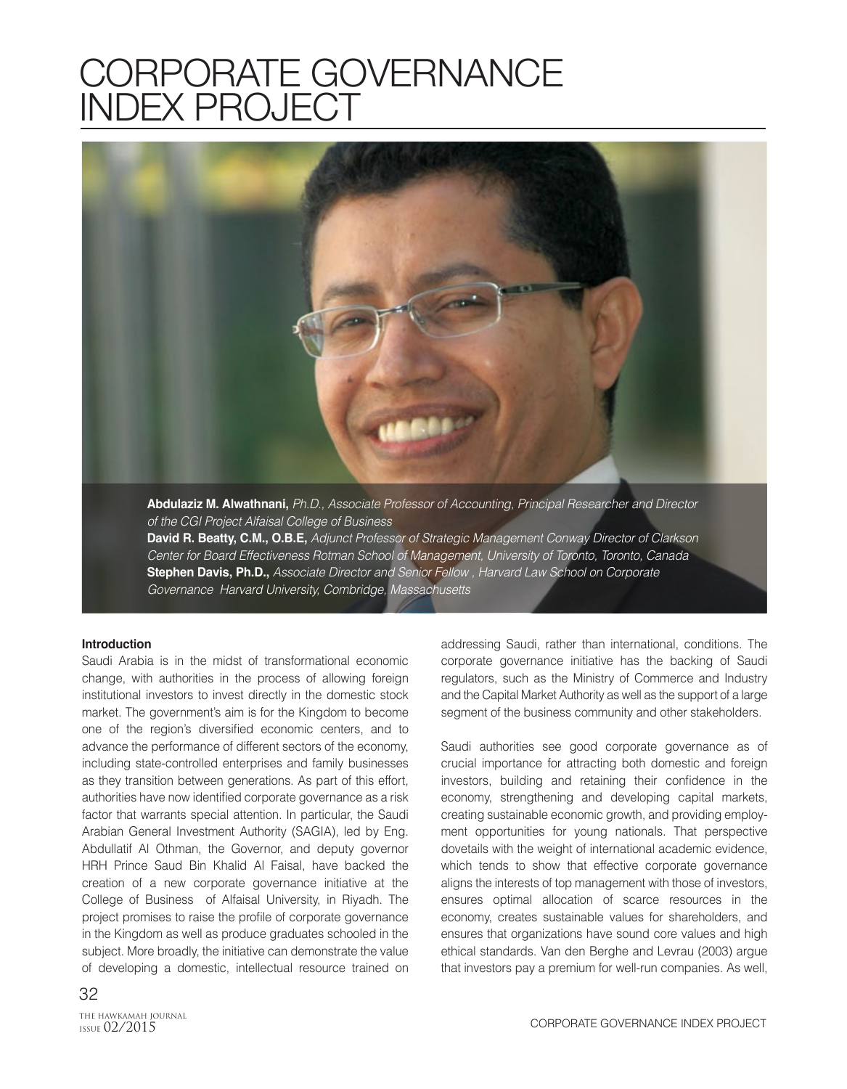# CORPORATE GOVERNANCE INDEX PROJECT



of the CGI Project Alfaisal College of Business **David R. Beatty, C.M., O.B.E,** Adjunct Professor of Strategic Management Conway Director of Clarkson Center for Board Effectiveness Rotman School of Management, University of Toronto, Toronto, Canada **Stephen Davis, Ph.D.,** Associate Director and Senior Fellow , Harvard Law School on Corporate

Governance Harvard University, Combridge, Massachusetts

#### **Introduction**

Saudi Arabia is in the midst of transformational economic change, with authorities in the process of allowing foreign institutional investors to invest directly in the domestic stock market. The government's aim is for the Kingdom to become one of the region's diversified economic centers, and to advance the performance of different sectors of the economy, including state-controlled enterprises and family businesses as they transition between generations. As part of this effort, authorities have now identified corporate governance as a risk factor that warrants special attention. In particular, the Saudi Arabian General Investment Authority (SAGIA), led by Eng. Abdullatif Al Othman, the Governor, and deputy governor HRH Prince Saud Bin Khalid Al Faisal, have backed the creation of a new corporate governance initiative at the College of Business of Alfaisal University, in Riyadh. The project promises to raise the profile of corporate governance in the Kingdom as well as produce graduates schooled in the subject. More broadly, the initiative can demonstrate the value of developing a domestic, intellectual resource trained on addressing Saudi, rather than international, conditions. The corporate governance initiative has the backing of Saudi regulators, such as the Ministry of Commerce and Industry and the Capital Market Authority as well as the support of a large segment of the business community and other stakeholders.

Saudi authorities see good corporate governance as of crucial importance for attracting both domestic and foreign investors, building and retaining their confidence in the economy, strengthening and developing capital markets, creating sustainable economic growth, and providing employment opportunities for young nationals. That perspective dovetails with the weight of international academic evidence, which tends to show that effective corporate governance aligns the interests of top management with those of investors, ensures optimal allocation of scarce resources in the economy, creates sustainable values for shareholders, and ensures that organizations have sound core values and high ethical standards. Van den Berghe and Levrau (2003) argue that investors pay a premium for well-run companies. As well,

ISSUE 02/2015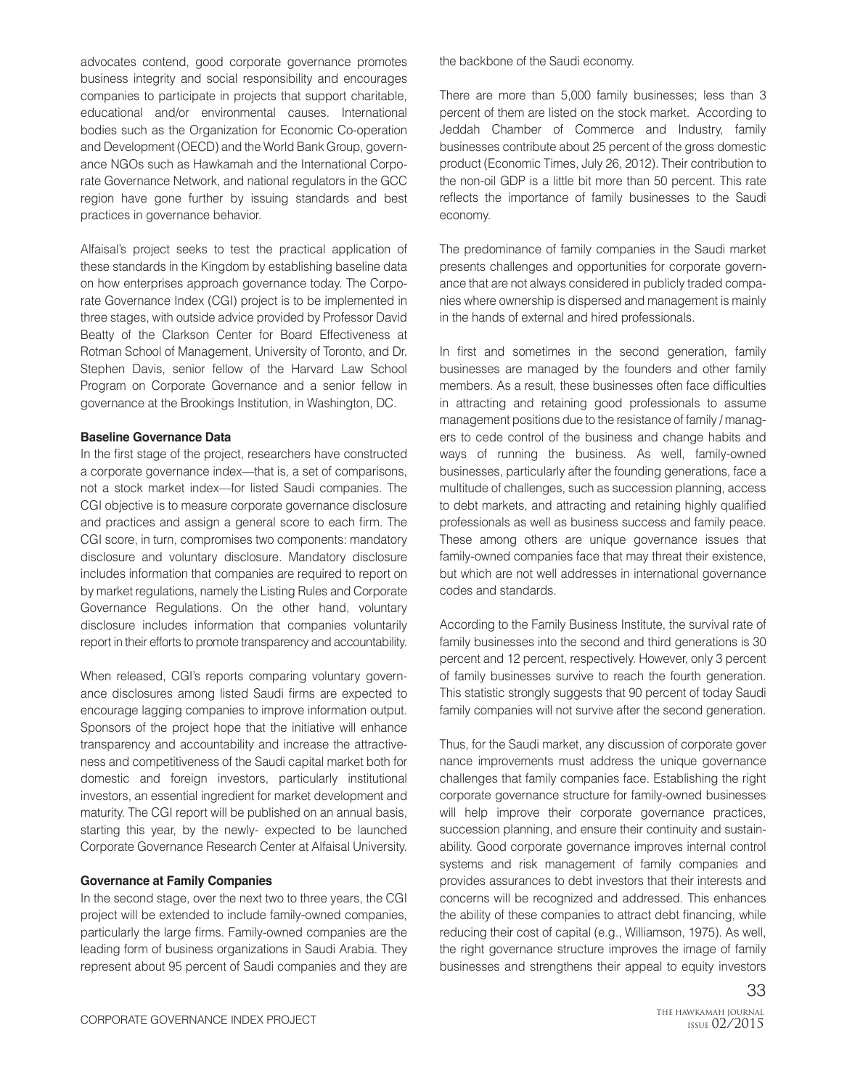advocates contend, good corporate governance promotes business integrity and social responsibility and encourages companies to participate in projects that support charitable, educational and/or environmental causes. International bodies such as the Organization for Economic Co-operation and Development (OECD) and the World Bank Group, governance NGOs such as Hawkamah and the International Corporate Governance Network, and national regulators in the GCC region have gone further by issuing standards and best practices in governance behavior.

Alfaisal's project seeks to test the practical application of these standards in the Kingdom by establishing baseline data on how enterprises approach governance today. The Corporate Governance Index (CGI) project is to be implemented in three stages, with outside advice provided by Professor David Beatty of the Clarkson Center for Board Effectiveness at Rotman School of Management, University of Toronto, and Dr. Stephen Davis, senior fellow of the Harvard Law School Program on Corporate Governance and a senior fellow in governance at the Brookings Institution, in Washington, DC.

### **Baseline Governance Data**

In the first stage of the project, researchers have constructed a corporate governance index—that is, a set of comparisons, not a stock market index—for listed Saudi companies. The CGI objective is to measure corporate governance disclosure and practices and assign a general score to each firm. The CGI score, in turn, compromises two components: mandatory disclosure and voluntary disclosure. Mandatory disclosure includes information that companies are required to report on by market regulations, namely the Listing Rules and Corporate Governance Regulations. On the other hand, voluntary disclosure includes information that companies voluntarily report in their efforts to promote transparency and accountability.

When released, CGI's reports comparing voluntary governance disclosures among listed Saudi firms are expected to encourage lagging companies to improve information output. Sponsors of the project hope that the initiative will enhance transparency and accountability and increase the attractiveness and competitiveness of the Saudi capital market both for domestic and foreign investors, particularly institutional investors, an essential ingredient for market development and maturity. The CGI report will be published on an annual basis, starting this year, by the newly- expected to be launched Corporate Governance Research Center at Alfaisal University.

## **Governance at Family Companies**

In the second stage, over the next two to three years, the CGI project will be extended to include family-owned companies, particularly the large firms. Family-owned companies are the leading form of business organizations in Saudi Arabia. They represent about 95 percent of Saudi companies and they are the backbone of the Saudi economy.

There are more than 5,000 family businesses; less than 3 percent of them are listed on the stock market. According to Jeddah Chamber of Commerce and Industry, family businesses contribute about 25 percent of the gross domestic product (Economic Times, July 26, 2012). Their contribution to the non-oil GDP is a little bit more than 50 percent. This rate reflects the importance of family businesses to the Saudi economy.

The predominance of family companies in the Saudi market presents challenges and opportunities for corporate governance that are not always considered in publicly traded companies where ownership is dispersed and management is mainly in the hands of external and hired professionals.

In first and sometimes in the second generation, family businesses are managed by the founders and other family members. As a result, these businesses often face difficulties in attracting and retaining good professionals to assume management positions due to the resistance of family / managers to cede control of the business and change habits and ways of running the business. As well, family-owned businesses, particularly after the founding generations, face a multitude of challenges, such as succession planning, access to debt markets, and attracting and retaining highly qualified professionals as well as business success and family peace. These among others are unique governance issues that family-owned companies face that may threat their existence, but which are not well addresses in international governance codes and standards.

According to the Family Business Institute, the survival rate of family businesses into the second and third generations is 30 percent and 12 percent, respectively. However, only 3 percent of family businesses survive to reach the fourth generation. This statistic strongly suggests that 90 percent of today Saudi family companies will not survive after the second generation.

Thus, for the Saudi market, any discussion of corporate gover nance improvements must address the unique governance challenges that family companies face. Establishing the right corporate governance structure for family-owned businesses will help improve their corporate governance practices, succession planning, and ensure their continuity and sustainability. Good corporate governance improves internal control systems and risk management of family companies and provides assurances to debt investors that their interests and concerns will be recognized and addressed. This enhances the ability of these companies to attract debt financing, while reducing their cost of capital (e.g., Williamson, 1975). As well, the right governance structure improves the image of family businesses and strengthens their appeal to equity investors

33